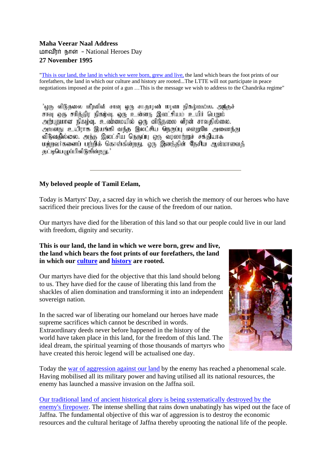# **Maha Veerar Naal Address**  மாவீரர் நாள் - National Heroes Day **27 November 1995**

"This is our land, the land in which [we were born, grew and live,](http://www.tamilnation.org/tamileelam/boundaries/index.htm) the land which bears the foot prints of our forefathers, the land in which our culture and history are rooted...The LTTE will not participate in peace negotiations imposed at the point of a gun …This is the message we wish to address to the Chandrika regime"

'ஒரு விடுதலை வீரலின் சாவு ஒரு சாதாரண் மரண நிகழ்வல்ல. அந்தச் சாவு ஒரு சரிக்கிர நிகழ்வு, ஒரு உன்னது இலட்சியம் உயிர் பெறும். அங்புகமான நிகழ்வு, உண்மையில் ஒரு விடுகலை வீரன் சாவகில்லை. அவனது உயிராக இயங்கி வந்த இலட்சிய நெருப்பு என்றுமே அனைந்து விடுவதில்லை. அந்த இலட்சிய நெருப்பு ஒரு வரலாற்றுச் சக்தியாக மற்றவர்களைப் பற்றிக் கொள்கின்றது. ஒரு இனத்தின் தேசிய ஆன்மாவைத் தட்டியெழுப்பிவிடுகின்றது.

# **My beloved people of Tamil Eelam,**

Today is Martyrs' Day, a sacred day in which we cherish the memory of our heroes who have sacrificed their precious lives for the cause of the freedom of our nation.

Our martyrs have died for the liberation of this land so that our people could live in our land with freedom, dignity and security.

**This is our land, the land in which we were born, grew and live, the land which bears the foot prints of our forefathers, the land in which our [culture](http://www.tamilnation.org/culture/index.htm) and [history](http://www.tamilnation.org/heritage/index.htm) are rooted.** 

Our martyrs have died for the objective that this land should belong to us. They have died for the cause of liberating this land from the shackles of alien domination and transforming it into an independent sovereign nation.

In the sacred war of liberating our homeland our heroes have made supreme sacrifices which cannot be described in words. Extraordinary deeds never before happened in the history of the world have taken place in this land, for the freedom of this land. The ideal dream, the spiritual yearning of those thousands of martyrs who have created this heroic legend will be actualised one day.



Today the [war of aggression against our land](http://www.tamilnation.org/indictment/genocide95/index.htm) by the enemy has reached a phenomenal scale. Having mobilised all its military power and having utilised all its national resources, the enemy has launched a massive invasion on the Jaffna soil.

#### [Our traditional land of ancient historical glory is being systematically destroyed by the](http://www.tamilnation.org/indictment/genocide95/gen95033.htm)  [enemy's firepower](http://www.tamilnation.org/indictment/genocide95/gen95033.htm). The intense shelling that rains down unabatingly has wiped out the face of Jaffna. The fundamental objective of this war of aggression is to destroy the economic resources and the cultural heritage of Jaffna thereby uprooting the national life of the people.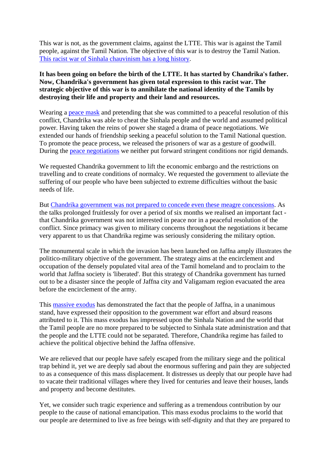This war is not, as the government claims, against the LTTE. This war is against the Tamil people, against the Tamil Nation. The objective of this war is to destroy the Tamil Nation. [This racist war of Sinhala chauvinism has a long history.](http://www.tamilnation.org/indictment/index.htm)

## **It has been going on before the birth of the LTTE. It has started by Chandrika's father. Now, Chandrika's government has given total expression to this racist war. The strategic objective of this war is to annihilate the national identity of the Tamils by destroying their life and property and their land and resources.**

Wearing a [peace mask](http://www.tamilnation.org/conflictresolution/tamileelam/cbkproposals/index.htm) and pretending that she was committed to a peaceful resolution of this conflict, Chandrika was able to cheat the Sinhala people and the world and assumed political power. Having taken the reins of power she staged a drama of peace negotiations. We extended our hands of friendship seeking a peaceful solution to the Tamil National question. To promote the peace process, we released the prisoners of war as a gesture of goodwill. During the [peace negotiations](http://www.tamilnation.org/conflictresolution/tamileelam/cbktalks/index.htm) we neither put forward stringent conditions nor rigid demands.

We requested Chandrika government to lift the economic embargo and the restrictions on travelling and to create conditions of normalcy. We requested the government to alleviate the suffering of our people who have been subjected to extreme difficulties without the basic needs of life.

But [Chandrika government was not prepared to concede even these meagre concessions](http://www.tamilnation.org/conflictresolution/tamileelam/cbktalks/950427vpbbcinterview.htm). As the talks prolonged fruitlessly for over a period of six months we realised an important fact that Chandrika government was not interested in peace nor in a peaceful resolution of the conflict. Since primacy was given to military concerns throughout the negotiations it became very apparent to us that Chandrika regime was seriously considering the military option.

The monumental scale in which the invasion has been launched on Jaffna amply illustrates the politico-military objective of the government. The strategy aims at the encirclement and occupation of the densely populated vital area of the Tamil homeland and to proclaim to the world that Jaffna society is 'liberated'. But this strategy of Chandrika government has turned out to be a disaster since the people of Jaffna city and Valigamam region evacuated the area before the encirclement of the army.

This **massive exodus** has demonstrated the fact that the people of Jaffna, in a unanimous stand, have expressed their opposition to the government war effort and absurd reasons attributed to it. This mass exodus has impressed upon the Sinhala Nation and the world that the Tamil people are no more prepared to be subjected to Sinhala state administration and that the people and the LTTE could not be separated. Therefore, Chandrika regime has failed to achieve the political objective behind the Jaffna offensive.

We are relieved that our people have safely escaped from the military siege and the political trap behind it, yet we are deeply sad about the enormous suffering and pain they are subjected to as a consequence of this mass displacement. It distresses us deeply that our people have had to vacate their traditional villages where they lived for centuries and leave their houses, lands and property and become destitutes.

Yet, we consider such tragic experience and suffering as a tremendous contribution by our people to the cause of national emancipation. This mass exodus proclaims to the world that our people are determined to live as free beings with self-dignity and that they are prepared to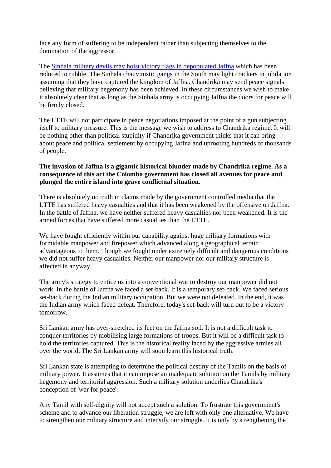face any form of suffering to be independent rather than subjecting themselves to the domination of the aggressor.

The [Sinhala military devils may hoist victory flags in depopulated Jaffna](http://www.tamilnation.org/indictment/genocide95/gen95032.htm) which has been reduced to rubble. The Sinhala chauvinistic gangs in the South may light crackers in jubilation assuming that they have captured the kingdom of Jaffna. Chandrika may send peace signals believing that military hegemony has been achieved. In these circumstances we wish to make it absolutely clear that as long as the Sinhala army is occupying Jaffna the doors for peace will be firmly closed.

The LTTE will not participate in peace negotiations imposed at the point of a gun subjecting itself to military pressure. This is the message we wish to address to Chandrika regime. It will be nothing other than political stupidity if Chandrika government thinks that it can bring about peace and political settlement by occupying Jaffna and uprooting hundreds of thousands of people.

## **The invasion of Jaffna is a gigantic historical blunder made by Chandrika regime. As a consequence of this act the Colombo government has closed all avenues for peace and plunged the entire island into grave conflictual situation.**

There is absolutely no truth in claims made by the government controlled media that the LTTE has suffered heavy casualties and that it has been weakened by the offensive on Jaffna. In the battle of Jaffna, we have neither suffered heavy casualties nor been weakened. It is the armed forces that have suffered more casualties than the LTTE.

We have fought efficiently within our capability against huge military formations with formidable manpower and firepower which advanced along a geographical terrain advantageous to them. Though we fought under extremely difficult and dangerous conditions we did not suffer heavy casualties. Neither our manpower nor our military structure is affected in anyway.

The army's strategy to entice us into a conventional war to destroy our manpower did not work. In the battle of Jaffna we faced a set-back. It is a temporary set-back. We faced serious set-back during the Indian military occupation. But we were not defeated. In the end, it was the Indian army which faced defeat. Therefore, today's set-back will turn out to be a victory tomorrow.

Sri Lankan army has over-stretched its feet on the Jaffna soil. It is not a difficult task to conquer territories by mobilising large formations of troops. But it will be a difficult task to hold the territories captured. This is the historical reality faced by the aggressive armies all over the world. The Sri Lankan army will soon learn this historical truth.

Sri Lankan state is attempting to determine the political destiny of the Tamils on the basis of military power. It assumes that it can impose an inadequate solution on the Tamils by military hegemony and territorial aggression. Such a military solution underlies Chandrika's conception of 'war for peace'.

Any Tamil with self-dignity will not accept such a solution. To frustrate this government's scheme and to advance our liberation struggle, we are left with only one alternative. We have to strengthen our military structure and intensify our struggle. It is only by strengthening the